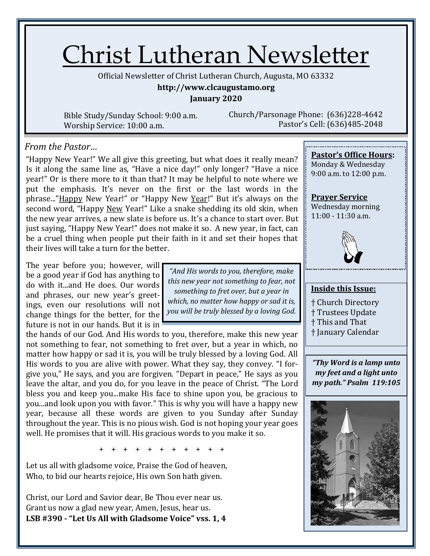# Christ Lutheran Newsletter

Official Newsletter of Christ Lutheran Church, Augusta, MO 63332

#### **http://www.clcaugustamo.org**

**January 2020**

Bible Study/Sunday School: 9:00 a.m. Worship Service: 10:00 a.m.

Church/Parsonage Phone: (636)228-4642 Pastor's Cell: (636)485-2048

### *From the Pastor…*

"Happy New Year!" We all give this greeting, but what does it really mean? Is it along the same line as, "Have a nice day!" only longer? "Have a nice year!" Or is there more to it than that? It may be helpful to note where we put the emphasis. It's never on the first or the last words in the phrase..."Happy New Year!" or "Happy New Year!" But it's always on the second word, "Happy New Year!" Like a snake shedding its old skin, when the new year arrives, a new slate is before us. It's a chance to start over. But just saying, "Happy New Year!" does not make it so. A new year, in fact, can be a cruel thing when people put their faith in it and set their hopes that their lives will take a turn for the better.

The year before you; however, will be a good year if God has anything to do with it...and He does. Our words and phrases, our new year's greetings, even our resolutions will not change things for the better, for the future is not in our hands. But it is in

the hands of our God. And His words to you, therefore, make this new year not something to fear, not something to fret over, but a year in which, no matter how happy or sad it is, you will be truly blessed by a loving God. All His words to you are alive with power. What they say, they convey. "I forgive you," He says, and you are forgiven. "Depart in peace," He says as you leave the altar, and you do, for you leave in the peace of Christ. "The Lord bless you and keep you...make His face to shine upon you, be gracious to you...and look upon you with favor." This is why you will have a happy new year, because all these words are given to you Sunday after Sunday throughout the year. This is no pious wish. God is not hoping your year goes well. He promises that it will. His gracious words to you make it so.

+ + + + + + + + + + +

Let us all with gladsome voice, Praise the God of heaven, Who, to bid our hearts rejoice, His own Son hath given.

Christ, our Lord and Savior dear, Be Thou ever near us. Grant us now a glad new year, Amen, Jesus, hear us. **LSB #390 - "Let Us All with Gladsome Voice" vss. 1, 4**

*"And His words to you, therefore, make this new year not something to fear, not something to fret over, but a year in which, no matter how happy or sad it is, you will be truly blessed by a loving God.* 

# **Pastor's Office Hours:**

Monday & Wednesday 9:00 a.m. to 12:00 p.m.

**Prayer Service** Wednesday morning 11:00 - 11:30 a.m.



#### **Inside this Issue:**

- † Church Directory
- † Trustees Update
- † This and That
- † January Calendar

*"Thy Word is a lamp unto my feet and a light unto my path." Psalm 119:105*